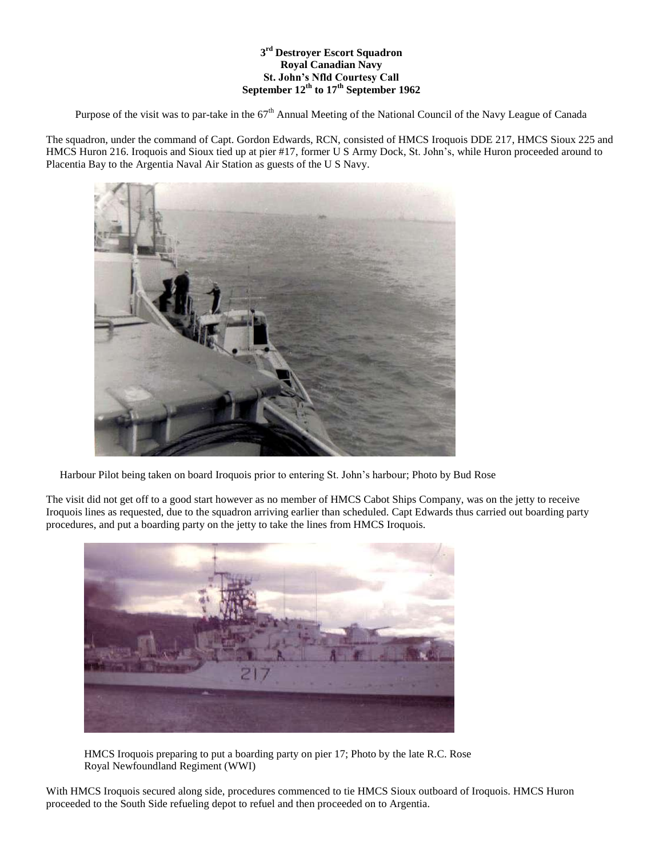## **3 rd Destroyer Escort Squadron Royal Canadian Navy St. John's Nfld Courtesy Call September 12th to 17th September 1962**

Purpose of the visit was to par-take in the  $67<sup>th</sup>$  Annual Meeting of the National Council of the Navy League of Canada

The squadron, under the command of Capt. Gordon Edwards, RCN, consisted of HMCS Iroquois DDE 217, HMCS Sioux 225 and HMCS Huron 216. Iroquois and Sioux tied up at pier #17, former U S Army Dock, St. John's, while Huron proceeded around to Placentia Bay to the Argentia Naval Air Station as guests of the U S Navy.



Harbour Pilot being taken on board Iroquois prior to entering St. John's harbour; Photo by Bud Rose

The visit did not get off to a good start however as no member of HMCS Cabot Ships Company, was on the jetty to receive Iroquois lines as requested, due to the squadron arriving earlier than scheduled. Capt Edwards thus carried out boarding party procedures, and put a boarding party on the jetty to take the lines from HMCS Iroquois.



 HMCS Iroquois preparing to put a boarding party on pier 17; Photo by the late R.C. Rose Royal Newfoundland Regiment (WWI)

With HMCS Iroquois secured along side, procedures commenced to tie HMCS Sioux outboard of Iroquois. HMCS Huron proceeded to the South Side refueling depot to refuel and then proceeded on to Argentia.